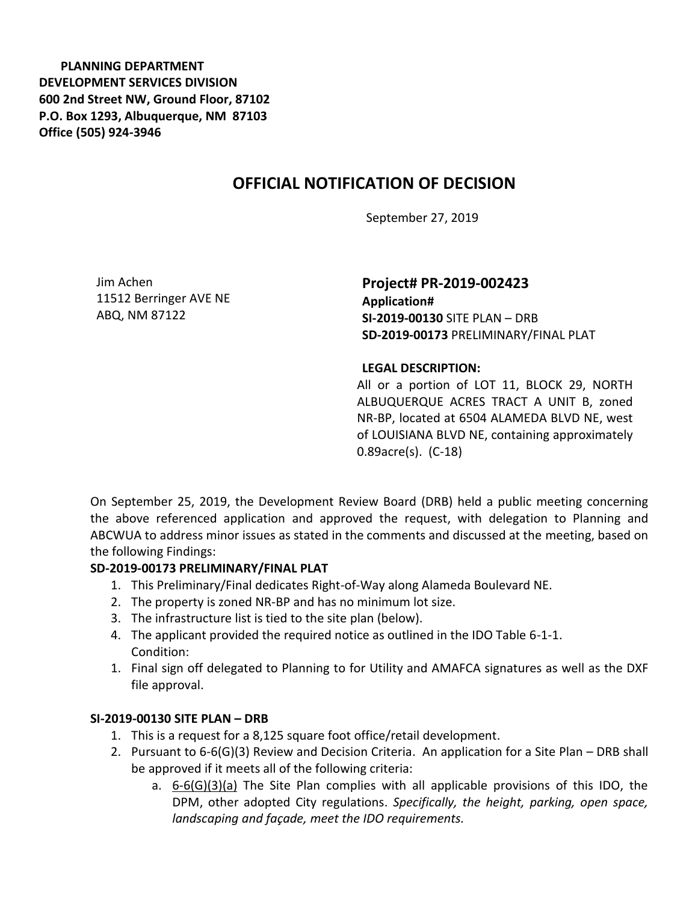**PLANNING DEPARTMENT DEVELOPMENT SERVICES DIVISION 600 2nd Street NW, Ground Floor, 87102 P.O. Box 1293, Albuquerque, NM 87103 Office (505) 924-3946** 

# **OFFICIAL NOTIFICATION OF DECISION**

September 27, 2019

Jim Achen 11512 Berringer AVE NE ABQ, NM 87122

**Project# PR-2019-002423 Application# SI-2019-00130** SITE PLAN – DRB **SD-2019-00173** PRELIMINARY/FINAL PLAT

#### **LEGAL DESCRIPTION:**

All or a portion of LOT 11, BLOCK 29, NORTH ALBUQUERQUE ACRES TRACT A UNIT B, zoned NR-BP, located at 6504 ALAMEDA BLVD NE, west of LOUISIANA BLVD NE, containing approximately 0.89acre(s). (C-18)

On September 25, 2019, the Development Review Board (DRB) held a public meeting concerning the above referenced application and approved the request, with delegation to Planning and ABCWUA to address minor issues as stated in the comments and discussed at the meeting, based on the following Findings:

### **SD-2019-00173 PRELIMINARY/FINAL PLAT**

- 1. This Preliminary/Final dedicates Right-of-Way along Alameda Boulevard NE.
- 2. The property is zoned NR-BP and has no minimum lot size.
- 3. The infrastructure list is tied to the site plan (below).
- 4. The applicant provided the required notice as outlined in the IDO Table 6-1-1. Condition:
- 1. Final sign off delegated to Planning to for Utility and AMAFCA signatures as well as the DXF file approval.

### **SI-2019-00130 SITE PLAN – DRB**

- 1. This is a request for a 8,125 square foot office/retail development.
- 2. Pursuant to 6-6(G)(3) Review and Decision Criteria. An application for a Site Plan DRB shall be approved if it meets all of the following criteria:
	- a. 6-6(G)(3)(a) The Site Plan complies with all applicable provisions of this IDO, the DPM, other adopted City regulations. *Specifically, the height, parking, open space, landscaping and façade, meet the IDO requirements.*